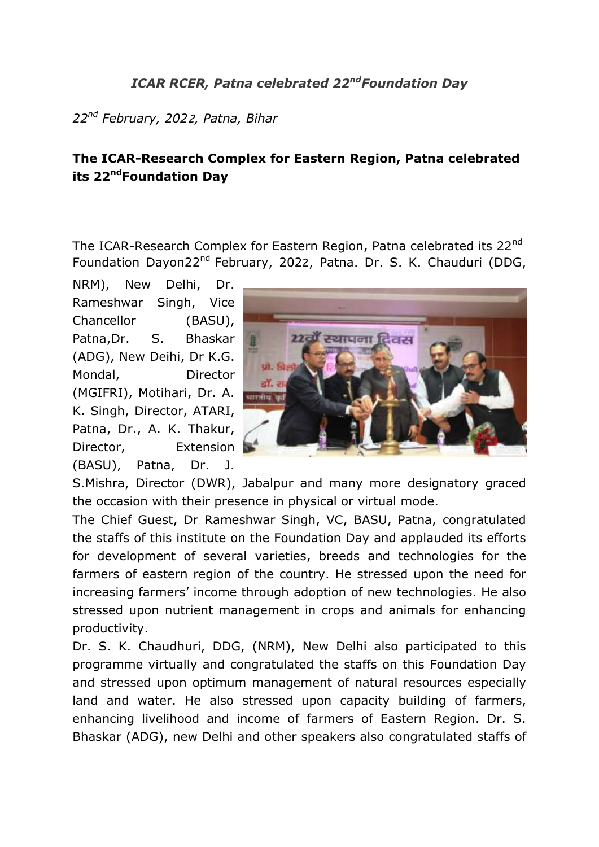## *ICAR RCER, Patna celebrated 22 ndFoundation Day*

*22nd February, 202*2*, Patna, Bihar*

## **The ICAR-Research Complex for Eastern Region, Patna celebrated its 22<sup>nd</sup>Foundation Day**

The ICAR-Research Complex for Eastern Region, Patna celebrated its 22<sup>nd</sup> Foundation Dayon22nd February, 2022, Patna. Dr. S. K. Chauduri (DDG,

NRM), New Delhi, Dr. Rameshwar Singh, Vice Chancellor (BASU), Patna,Dr. S. Bhaskar (ADG), New Deihi, Dr K.G. Mondal, Director (MGIFRI), Motihari, Dr. A. K. Singh, Director, ATARI, Patna, Dr., A. K. Thakur, Director, Extension (BASU), Patna, Dr. J.



S.Mishra, Director (DWR), Jabalpur and many more designatory graced the occasion with their presence in physical or virtual mode.

The Chief Guest, Dr Rameshwar Singh, VC, BASU, Patna, congratulated the staffs of this institute on the Foundation Day and applauded its efforts for development of several varieties, breeds and technologies for the farmers of eastern region of the country. He stressed upon the need for increasing farmers' income through adoption of new technologies. He also stressed upon nutrient management in crops and animals for enhancing productivity.

Dr. S. K. Chaudhuri, DDG, (NRM), New Delhi also participated to this programme virtually and congratulated the staffs on this Foundation Day and stressed upon optimum management of natural resources especially land and water. He also stressed upon capacity building of farmers, enhancing livelihood and income of farmers of Eastern Region. Dr. S. Bhaskar (ADG), new Delhi and other speakers also congratulated staffs of